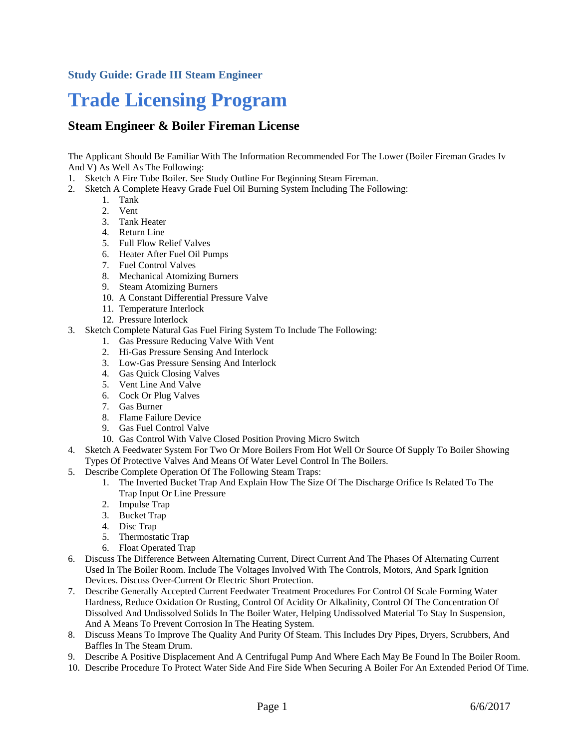#### **Study Guide: Grade III Steam Engineer**

# **Trade Licensing Program**

#### **Steam Engineer & Boiler Fireman License**

The Applicant Should Be Familiar With The Information Recommended For The Lower (Boiler Fireman Grades Iv And V) As Well As The Following:

- 1. Sketch A Fire Tube Boiler. See Study Outline For Beginning Steam Fireman.
- 2. Sketch A Complete Heavy Grade Fuel Oil Burning System Including The Following:
	- 1. Tank
	- 2. Vent
	- 3. Tank Heater
	- 4. Return Line
	- 5. Full Flow Relief Valves
	- 6. Heater After Fuel Oil Pumps
	- 7. Fuel Control Valves
	- 8. Mechanical Atomizing Burners
	- 9. Steam Atomizing Burners
	- 10. A Constant Differential Pressure Valve
	- 11. Temperature Interlock
	- 12. Pressure Interlock
- 3. Sketch Complete Natural Gas Fuel Firing System To Include The Following:
	- 1. Gas Pressure Reducing Valve With Vent
	- 2. Hi-Gas Pressure Sensing And Interlock
	- 3. Low-Gas Pressure Sensing And Interlock
	- 4. Gas Quick Closing Valves
	- 5. Vent Line And Valve
	- 6. Cock Or Plug Valves
	- 7. Gas Burner
	- 8. Flame Failure Device
	- 9. Gas Fuel Control Valve
	- 10. Gas Control With Valve Closed Position Proving Micro Switch
- 4. Sketch A Feedwater System For Two Or More Boilers From Hot Well Or Source Of Supply To Boiler Showing Types Of Protective Valves And Means Of Water Level Control In The Boilers.
- 5. Describe Complete Operation Of The Following Steam Traps:
	- 1. The Inverted Bucket Trap And Explain How The Size Of The Discharge Orifice Is Related To The Trap Input Or Line Pressure
	- 2. Impulse Trap
	- 3. Bucket Trap
	- 4. Disc Trap
	- 5. Thermostatic Trap
	- 6. Float Operated Trap
- 6. Discuss The Difference Between Alternating Current, Direct Current And The Phases Of Alternating Current Used In The Boiler Room. Include The Voltages Involved With The Controls, Motors, And Spark Ignition Devices. Discuss Over-Current Or Electric Short Protection.
- 7. Describe Generally Accepted Current Feedwater Treatment Procedures For Control Of Scale Forming Water Hardness, Reduce Oxidation Or Rusting, Control Of Acidity Or Alkalinity, Control Of The Concentration Of Dissolved And Undissolved Solids In The Boiler Water, Helping Undissolved Material To Stay In Suspension, And A Means To Prevent Corrosion In The Heating System.
- 8. Discuss Means To Improve The Quality And Purity Of Steam. This Includes Dry Pipes, Dryers, Scrubbers, And Baffles In The Steam Drum.
- 9. Describe A Positive Displacement And A Centrifugal Pump And Where Each May Be Found In The Boiler Room.
- 10. Describe Procedure To Protect Water Side And Fire Side When Securing A Boiler For An Extended Period Of Time.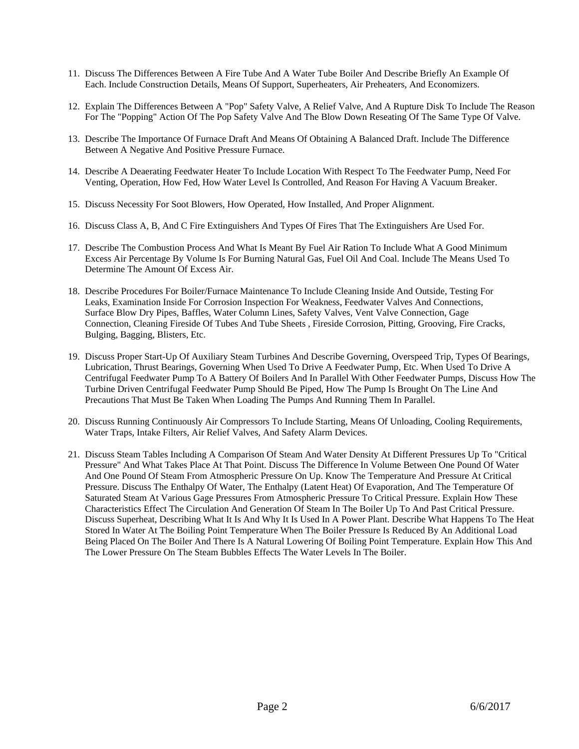- 11. Discuss The Differences Between A Fire Tube And A Water Tube Boiler And Describe Briefly An Example Of Each. Include Construction Details, Means Of Support, Superheaters, Air Preheaters, And Economizers.
- 12. Explain The Differences Between A "Pop" Safety Valve, A Relief Valve, And A Rupture Disk To Include The Reason For The "Popping" Action Of The Pop Safety Valve And The Blow Down Reseating Of The Same Type Of Valve.
- 13. Describe The Importance Of Furnace Draft And Means Of Obtaining A Balanced Draft. Include The Difference Between A Negative And Positive Pressure Furnace.
- 14. Describe A Deaerating Feedwater Heater To Include Location With Respect To The Feedwater Pump, Need For Venting, Operation, How Fed, How Water Level Is Controlled, And Reason For Having A Vacuum Breaker.
- 15. Discuss Necessity For Soot Blowers, How Operated, How Installed, And Proper Alignment.
- 16. Discuss Class A, B, And C Fire Extinguishers And Types Of Fires That The Extinguishers Are Used For.
- 17. Describe The Combustion Process And What Is Meant By Fuel Air Ration To Include What A Good Minimum Excess Air Percentage By Volume Is For Burning Natural Gas, Fuel Oil And Coal. Include The Means Used To Determine The Amount Of Excess Air.
- 18. Describe Procedures For Boiler/Furnace Maintenance To Include Cleaning Inside And Outside, Testing For Leaks, Examination Inside For Corrosion Inspection For Weakness, Feedwater Valves And Connections, Surface Blow Dry Pipes, Baffles, Water Column Lines, Safety Valves, Vent Valve Connection, Gage Connection, Cleaning Fireside Of Tubes And Tube Sheets , Fireside Corrosion, Pitting, Grooving, Fire Cracks, Bulging, Bagging, Blisters, Etc.
- 19. Discuss Proper Start-Up Of Auxiliary Steam Turbines And Describe Governing, Overspeed Trip, Types Of Bearings, Lubrication, Thrust Bearings, Governing When Used To Drive A Feedwater Pump, Etc. When Used To Drive A Centrifugal Feedwater Pump To A Battery Of Boilers And In Parallel With Other Feedwater Pumps, Discuss How The Turbine Driven Centrifugal Feedwater Pump Should Be Piped, How The Pump Is Brought On The Line And Precautions That Must Be Taken When Loading The Pumps And Running Them In Parallel.
- 20. Discuss Running Continuously Air Compressors To Include Starting, Means Of Unloading, Cooling Requirements, Water Traps, Intake Filters, Air Relief Valves, And Safety Alarm Devices.
- 21. Discuss Steam Tables Including A Comparison Of Steam And Water Density At Different Pressures Up To "Critical Pressure" And What Takes Place At That Point. Discuss The Difference In Volume Between One Pound Of Water And One Pound Of Steam From Atmospheric Pressure On Up. Know The Temperature And Pressure At Critical Pressure. Discuss The Enthalpy Of Water, The Enthalpy (Latent Heat) Of Evaporation, And The Temperature Of Saturated Steam At Various Gage Pressures From Atmospheric Pressure To Critical Pressure. Explain How These Characteristics Effect The Circulation And Generation Of Steam In The Boiler Up To And Past Critical Pressure. Discuss Superheat, Describing What It Is And Why It Is Used In A Power Plant. Describe What Happens To The Heat Stored In Water At The Boiling Point Temperature When The Boiler Pressure Is Reduced By An Additional Load Being Placed On The Boiler And There Is A Natural Lowering Of Boiling Point Temperature. Explain How This And The Lower Pressure On The Steam Bubbles Effects The Water Levels In The Boiler.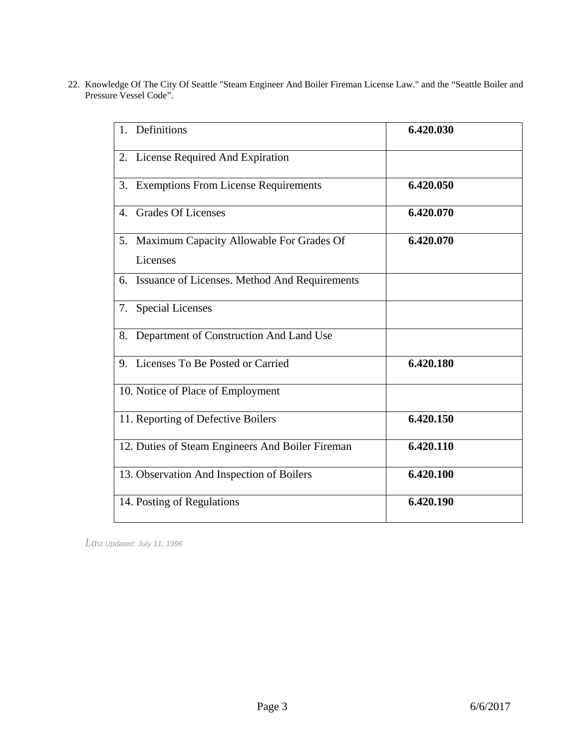22. Knowledge Of The City Of Seattle "Steam Engineer And Boiler Fireman License Law." and the "Seattle Boiler and Pressure Vessel Code".

| 1. Definitions                                          | 6.420.030 |
|---------------------------------------------------------|-----------|
| 2. License Required And Expiration                      |           |
| 3. Exemptions From License Requirements                 | 6.420.050 |
| <b>Grades Of Licenses</b><br>$\mathbf{4}$ .             | 6.420.070 |
| 5. Maximum Capacity Allowable For Grades Of<br>Licenses | 6.420.070 |
| 6. Issuance of Licenses. Method And Requirements        |           |
| 7. Special Licenses                                     |           |
| Department of Construction And Land Use<br>8.           |           |
| 9. Licenses To Be Posted or Carried                     | 6.420.180 |
| 10. Notice of Place of Employment                       |           |
| 11. Reporting of Defective Boilers                      | 6.420.150 |
| 12. Duties of Steam Engineers And Boiler Fireman        | 6.420.110 |
| 13. Observation And Inspection of Boilers               | 6.420.100 |
| 14. Posting of Regulations                              | 6.420.190 |
|                                                         |           |

*Last Updated: July 11, 1996*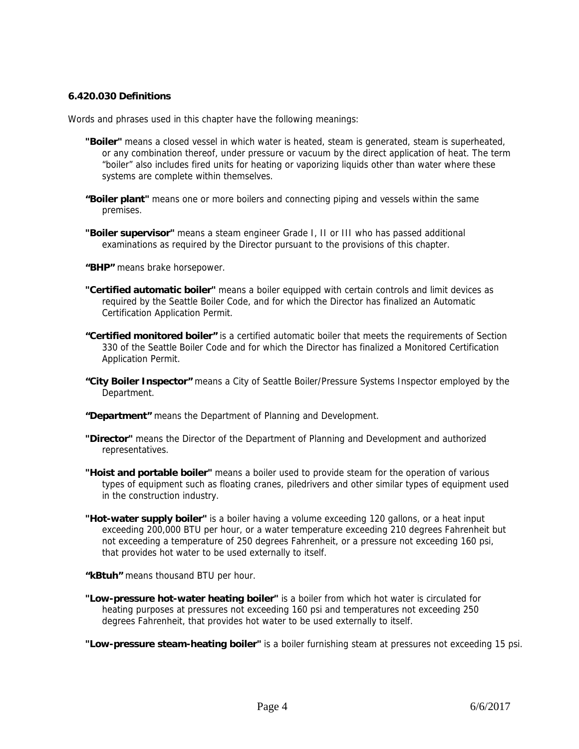#### **6.420.030 Definitions**

Words and phrases used in this chapter have the following meanings:

- **"Boiler"** means a closed vessel in which water is heated, steam is generated, steam is superheated, or any combination thereof, under pressure or vacuum by the direct application of heat. The term "boiler" also includes fired units for heating or vaporizing liquids other than water where these systems are complete within themselves.
- **"Boiler plant"** means one or more boilers and connecting piping and vessels within the same premises.
- **"Boiler supervisor"** means a steam engineer Grade I, II or III who has passed additional examinations as required by the Director pursuant to the provisions of this chapter.
- **"BHP"** means brake horsepower.
- **"Certified automatic boiler"** means a boiler equipped with certain controls and limit devices as required by the Seattle Boiler Code, and for which the Director has finalized an Automatic Certification Application Permit.
- **"Certified monitored boiler"** is a certified automatic boiler that meets the requirements of Section 330 of the Seattle Boiler Code and for which the Director has finalized a Monitored Certification Application Permit.
- **"City Boiler Inspector"** means a City of Seattle Boiler/Pressure Systems Inspector employed by the Department.
- **"Department"** means the Department of Planning and Development.
- **"Director"** means the Director of the Department of Planning and Development and authorized representatives.
- **"Hoist and portable boiler"** means a boiler used to provide steam for the operation of various types of equipment such as floating cranes, piledrivers and other similar types of equipment used in the construction industry.
- **"Hot-water supply boiler"** is a boiler having a volume exceeding 120 gallons, or a heat input exceeding 200,000 BTU per hour, or a water temperature exceeding 210 degrees Fahrenheit but not exceeding a temperature of 250 degrees Fahrenheit, or a pressure not exceeding 160 psi, that provides hot water to be used externally to itself.

**"kBtuh"** means thousand BTU per hour.

**"Low-pressure hot-water heating boiler"** is a boiler from which hot water is circulated for heating purposes at pressures not exceeding 160 psi and temperatures not exceeding 250 degrees Fahrenheit, that provides hot water to be used externally to itself.

**"Low-pressure steam-heating boiler"** is a boiler furnishing steam at pressures not exceeding 15 psi.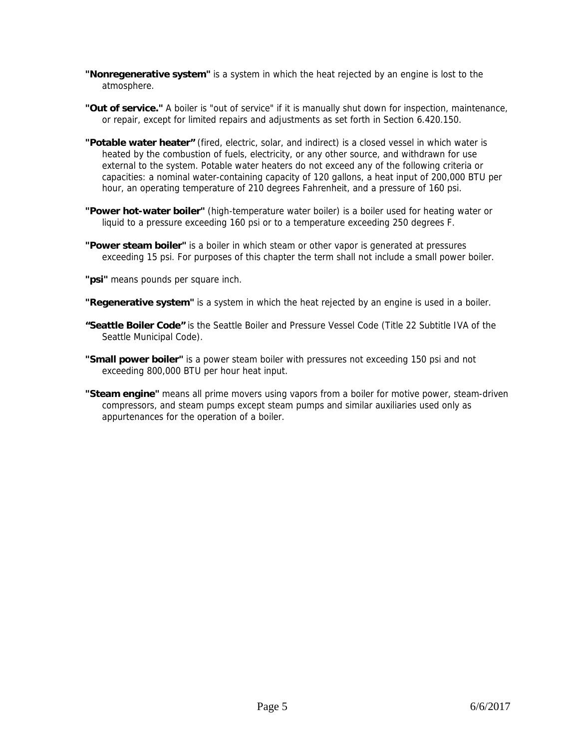- **"Nonregenerative system"** is a system in which the heat rejected by an engine is lost to the atmosphere.
- **"Out of service."** A boiler is "out of service" if it is manually shut down for inspection, maintenance, or repair, except for limited repairs and adjustments as set forth in Section 6.420.150.
- **"Potable water heater"** (fired, electric, solar, and indirect) is a closed vessel in which water is heated by the combustion of fuels, electricity, or any other source, and withdrawn for use external to the system. Potable water heaters do not exceed any of the following criteria or capacities: a nominal water-containing capacity of 120 gallons, a heat input of 200,000 BTU per hour, an operating temperature of 210 degrees Fahrenheit, and a pressure of 160 psi.
- **"Power hot-water boiler"** (high-temperature water boiler) is a boiler used for heating water or liquid to a pressure exceeding 160 psi or to a temperature exceeding 250 degrees F.
- **"Power steam boiler"** is a boiler in which steam or other vapor is generated at pressures exceeding 15 psi. For purposes of this chapter the term shall not include a small power boiler.
- **"psi"** means pounds per square inch.
- **"Regenerative system"** is a system in which the heat rejected by an engine is used in a boiler.
- **"Seattle Boiler Code"** is the Seattle Boiler and Pressure Vessel Code (Title 22 Subtitle IVA of the Seattle Municipal Code).
- **"Small power boiler"** is a power steam boiler with pressures not exceeding 150 psi and not exceeding 800,000 BTU per hour heat input.
- **"Steam engine"** means all prime movers using vapors from a boiler for motive power, steam-driven compressors, and steam pumps except steam pumps and similar auxiliaries used only as appurtenances for the operation of a boiler.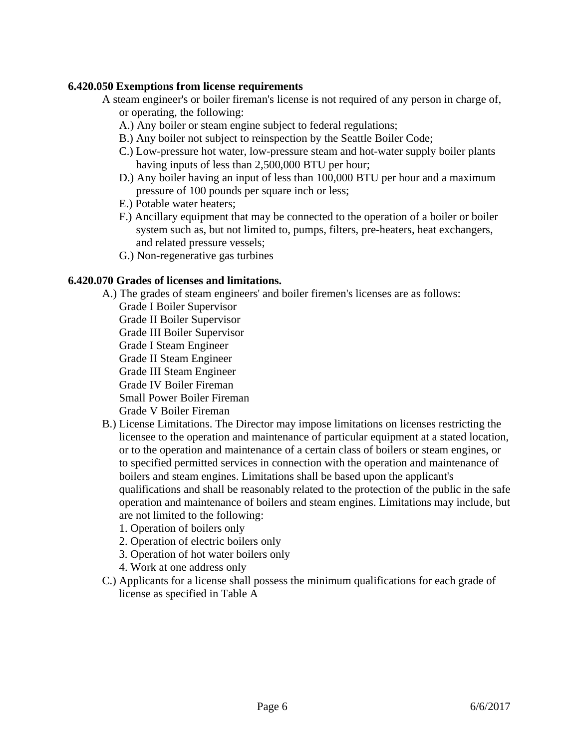#### **6.420.050 Exemptions from license requirements**

- A steam engineer's or boiler fireman's license is not required of any person in charge of, or operating, the following:
	- A.) Any boiler or steam engine subject to federal regulations;
	- B.) Any boiler not subject to reinspection by the Seattle Boiler Code;
	- C.) Low-pressure hot water, low-pressure steam and hot-water supply boiler plants having inputs of less than 2,500,000 BTU per hour;
	- D.) Any boiler having an input of less than 100,000 BTU per hour and a maximum pressure of 100 pounds per square inch or less;
	- E.) Potable water heaters;
	- F.) Ancillary equipment that may be connected to the operation of a boiler or boiler system such as, but not limited to, pumps, filters, pre-heaters, heat exchangers, and related pressure vessels;
	- G.) Non-regenerative gas turbines

#### **6.420.070 Grades of licenses and limitations.**

- A.) The grades of steam engineers' and boiler firemen's licenses are as follows: Grade I Boiler Supervisor
	- Grade II Boiler Supervisor
	- Grade III Boiler Supervisor
	- Grade I Steam Engineer
	- Grade II Steam Engineer
	- Grade III Steam Engineer
	- Grade IV Boiler Fireman
	- Small Power Boiler Fireman
	- Grade V Boiler Fireman
- B.) License Limitations. The Director may impose limitations on licenses restricting the licensee to the operation and maintenance of particular equipment at a stated location, or to the operation and maintenance of a certain class of boilers or steam engines, or to specified permitted services in connection with the operation and maintenance of boilers and steam engines. Limitations shall be based upon the applicant's qualifications and shall be reasonably related to the protection of the public in the safe operation and maintenance of boilers and steam engines. Limitations may include, but are not limited to the following:
	- 1. Operation of boilers only
	- 2. Operation of electric boilers only
	- 3. Operation of hot water boilers only
	- 4. Work at one address only
- C.) Applicants for a license shall possess the minimum qualifications for each grade of license as specified in Table A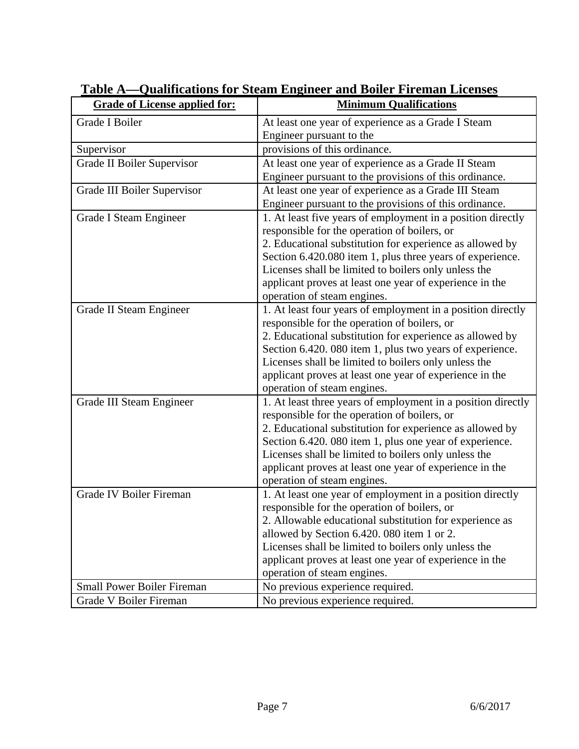| <b>Grade of License applied for:</b> | <b>Minimum Qualifications</b>                                                                                                                                                                                                                                                                                                                                                          |
|--------------------------------------|----------------------------------------------------------------------------------------------------------------------------------------------------------------------------------------------------------------------------------------------------------------------------------------------------------------------------------------------------------------------------------------|
| Grade I Boiler                       | At least one year of experience as a Grade I Steam                                                                                                                                                                                                                                                                                                                                     |
|                                      | Engineer pursuant to the                                                                                                                                                                                                                                                                                                                                                               |
| Supervisor                           | provisions of this ordinance.                                                                                                                                                                                                                                                                                                                                                          |
| Grade II Boiler Supervisor           | At least one year of experience as a Grade II Steam<br>Engineer pursuant to the provisions of this ordinance.                                                                                                                                                                                                                                                                          |
| Grade III Boiler Supervisor          | At least one year of experience as a Grade III Steam<br>Engineer pursuant to the provisions of this ordinance.                                                                                                                                                                                                                                                                         |
| Grade I Steam Engineer               | 1. At least five years of employment in a position directly<br>responsible for the operation of boilers, or<br>2. Educational substitution for experience as allowed by<br>Section 6.420.080 item 1, plus three years of experience.<br>Licenses shall be limited to boilers only unless the<br>applicant proves at least one year of experience in the<br>operation of steam engines. |
| Grade II Steam Engineer              | 1. At least four years of employment in a position directly<br>responsible for the operation of boilers, or<br>2. Educational substitution for experience as allowed by<br>Section 6.420. 080 item 1, plus two years of experience.<br>Licenses shall be limited to boilers only unless the<br>applicant proves at least one year of experience in the<br>operation of steam engines.  |
| Grade III Steam Engineer             | 1. At least three years of employment in a position directly<br>responsible for the operation of boilers, or<br>2. Educational substitution for experience as allowed by<br>Section 6.420. 080 item 1, plus one year of experience.<br>Licenses shall be limited to boilers only unless the<br>applicant proves at least one year of experience in the<br>operation of steam engines.  |
| <b>Grade IV Boiler Fireman</b>       | 1. At least one year of employment in a position directly<br>responsible for the operation of boilers, or<br>2. Allowable educational substitution for experience as<br>allowed by Section 6.420.080 item 1 or 2.<br>Licenses shall be limited to boilers only unless the<br>applicant proves at least one year of experience in the<br>operation of steam engines.                    |
| <b>Small Power Boiler Fireman</b>    | No previous experience required.                                                                                                                                                                                                                                                                                                                                                       |
| Grade V Boiler Fireman               | No previous experience required.                                                                                                                                                                                                                                                                                                                                                       |

# **Table A—Qualifications for Steam Engineer and Boiler Fireman Licenses**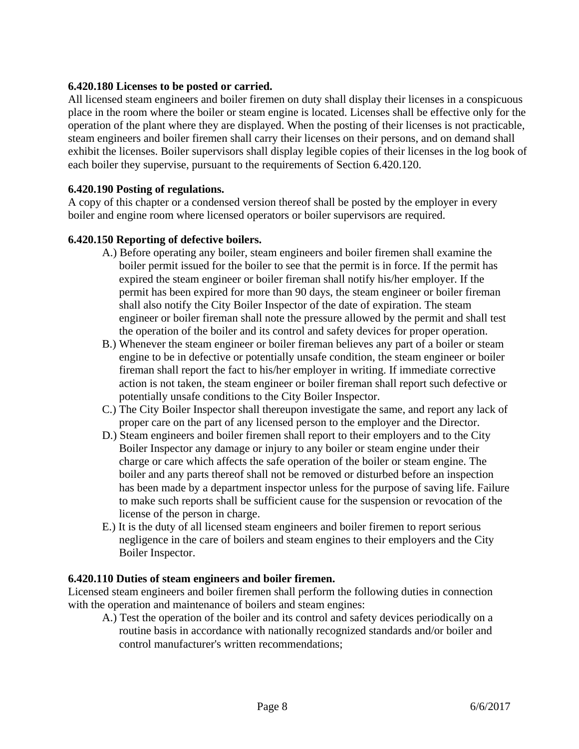#### **6.420.180 Licenses to be posted or carried.**

All licensed steam engineers and boiler firemen on duty shall display their licenses in a conspicuous place in the room where the boiler or steam engine is located. Licenses shall be effective only for the operation of the plant where they are displayed. When the posting of their licenses is not practicable, steam engineers and boiler firemen shall carry their licenses on their persons, and on demand shall exhibit the licenses. Boiler supervisors shall display legible copies of their licenses in the log book of each boiler they supervise, pursuant to the requirements of Section 6.420.120.

#### **6.420.190 Posting of regulations.**

A copy of this chapter or a condensed version thereof shall be posted by the employer in every boiler and engine room where licensed operators or boiler supervisors are required.

#### **6.420.150 Reporting of defective boilers.**

- A.) Before operating any boiler, steam engineers and boiler firemen shall examine the boiler permit issued for the boiler to see that the permit is in force. If the permit has expired the steam engineer or boiler fireman shall notify his/her employer. If the permit has been expired for more than 90 days, the steam engineer or boiler fireman shall also notify the City Boiler Inspector of the date of expiration. The steam engineer or boiler fireman shall note the pressure allowed by the permit and shall test the operation of the boiler and its control and safety devices for proper operation.
- B.) Whenever the steam engineer or boiler fireman believes any part of a boiler or steam engine to be in defective or potentially unsafe condition, the steam engineer or boiler fireman shall report the fact to his/her employer in writing. If immediate corrective action is not taken, the steam engineer or boiler fireman shall report such defective or potentially unsafe conditions to the City Boiler Inspector.
- C.) The City Boiler Inspector shall thereupon investigate the same, and report any lack of proper care on the part of any licensed person to the employer and the Director.
- D.) Steam engineers and boiler firemen shall report to their employers and to the City Boiler Inspector any damage or injury to any boiler or steam engine under their charge or care which affects the safe operation of the boiler or steam engine. The boiler and any parts thereof shall not be removed or disturbed before an inspection has been made by a department inspector unless for the purpose of saving life. Failure to make such reports shall be sufficient cause for the suspension or revocation of the license of the person in charge.
- E.) It is the duty of all licensed steam engineers and boiler firemen to report serious negligence in the care of boilers and steam engines to their employers and the City Boiler Inspector.

#### **6.420.110 Duties of steam engineers and boiler firemen.**

Licensed steam engineers and boiler firemen shall perform the following duties in connection with the operation and maintenance of boilers and steam engines:

A.) Test the operation of the boiler and its control and safety devices periodically on a routine basis in accordance with nationally recognized standards and/or boiler and control manufacturer's written recommendations;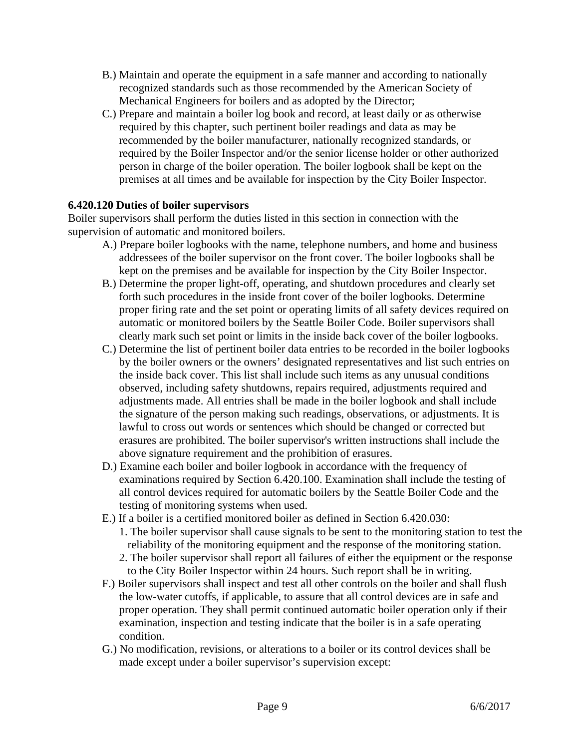- B.) Maintain and operate the equipment in a safe manner and according to nationally recognized standards such as those recommended by the American Society of Mechanical Engineers for boilers and as adopted by the Director;
- C.) Prepare and maintain a boiler log book and record, at least daily or as otherwise required by this chapter, such pertinent boiler readings and data as may be recommended by the boiler manufacturer, nationally recognized standards, or required by the Boiler Inspector and/or the senior license holder or other authorized person in charge of the boiler operation. The boiler logbook shall be kept on the premises at all times and be available for inspection by the City Boiler Inspector.

#### **6.420.120 Duties of boiler supervisors**

Boiler supervisors shall perform the duties listed in this section in connection with the supervision of automatic and monitored boilers.

- A.) Prepare boiler logbooks with the name, telephone numbers, and home and business addressees of the boiler supervisor on the front cover. The boiler logbooks shall be kept on the premises and be available for inspection by the City Boiler Inspector.
- B.) Determine the proper light-off, operating, and shutdown procedures and clearly set forth such procedures in the inside front cover of the boiler logbooks. Determine proper firing rate and the set point or operating limits of all safety devices required on automatic or monitored boilers by the Seattle Boiler Code. Boiler supervisors shall clearly mark such set point or limits in the inside back cover of the boiler logbooks.
- C.) Determine the list of pertinent boiler data entries to be recorded in the boiler logbooks by the boiler owners or the owners' designated representatives and list such entries on the inside back cover. This list shall include such items as any unusual conditions observed, including safety shutdowns, repairs required, adjustments required and adjustments made. All entries shall be made in the boiler logbook and shall include the signature of the person making such readings, observations, or adjustments. It is lawful to cross out words or sentences which should be changed or corrected but erasures are prohibited. The boiler supervisor's written instructions shall include the above signature requirement and the prohibition of erasures.
- D.) Examine each boiler and boiler logbook in accordance with the frequency of examinations required by Section 6.420.100. Examination shall include the testing of all control devices required for automatic boilers by the Seattle Boiler Code and the testing of monitoring systems when used.
- E.) If a boiler is a certified monitored boiler as defined in Section 6.420.030:
	- 1. The boiler supervisor shall cause signals to be sent to the monitoring station to test the reliability of the monitoring equipment and the response of the monitoring station.
	- 2. The boiler supervisor shall report all failures of either the equipment or the response to the City Boiler Inspector within 24 hours. Such report shall be in writing.
- F.) Boiler supervisors shall inspect and test all other controls on the boiler and shall flush the low-water cutoffs, if applicable, to assure that all control devices are in safe and proper operation. They shall permit continued automatic boiler operation only if their examination, inspection and testing indicate that the boiler is in a safe operating condition.
- G.) No modification, revisions, or alterations to a boiler or its control devices shall be made except under a boiler supervisor's supervision except: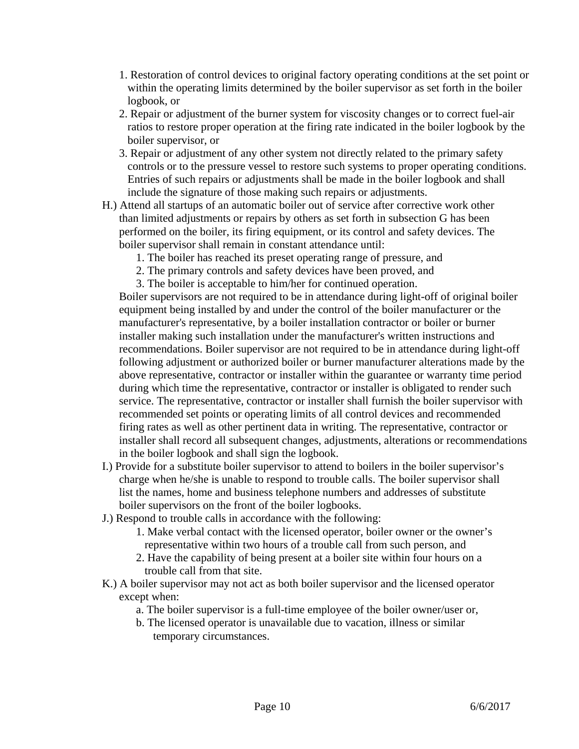- 1. Restoration of control devices to original factory operating conditions at the set point or within the operating limits determined by the boiler supervisor as set forth in the boiler logbook, or
- 2. Repair or adjustment of the burner system for viscosity changes or to correct fuel-air ratios to restore proper operation at the firing rate indicated in the boiler logbook by the boiler supervisor, or
- 3. Repair or adjustment of any other system not directly related to the primary safety controls or to the pressure vessel to restore such systems to proper operating conditions. Entries of such repairs or adjustments shall be made in the boiler logbook and shall include the signature of those making such repairs or adjustments.
- H.) Attend all startups of an automatic boiler out of service after corrective work other than limited adjustments or repairs by others as set forth in subsection G has been performed on the boiler, its firing equipment, or its control and safety devices. The boiler supervisor shall remain in constant attendance until:
	- 1. The boiler has reached its preset operating range of pressure, and
	- 2. The primary controls and safety devices have been proved, and
	- 3. The boiler is acceptable to him/her for continued operation.

Boiler supervisors are not required to be in attendance during light-off of original boiler equipment being installed by and under the control of the boiler manufacturer or the manufacturer's representative, by a boiler installation contractor or boiler or burner installer making such installation under the manufacturer's written instructions and recommendations. Boiler supervisor are not required to be in attendance during light-off following adjustment or authorized boiler or burner manufacturer alterations made by the above representative, contractor or installer within the guarantee or warranty time period during which time the representative, contractor or installer is obligated to render such service. The representative, contractor or installer shall furnish the boiler supervisor with recommended set points or operating limits of all control devices and recommended firing rates as well as other pertinent data in writing. The representative, contractor or installer shall record all subsequent changes, adjustments, alterations or recommendations in the boiler logbook and shall sign the logbook.

- I.) Provide for a substitute boiler supervisor to attend to boilers in the boiler supervisor's charge when he/she is unable to respond to trouble calls. The boiler supervisor shall list the names, home and business telephone numbers and addresses of substitute boiler supervisors on the front of the boiler logbooks.
- J.) Respond to trouble calls in accordance with the following:
	- 1. Make verbal contact with the licensed operator, boiler owner or the owner's representative within two hours of a trouble call from such person, and
	- 2. Have the capability of being present at a boiler site within four hours on a trouble call from that site.
- K.) A boiler supervisor may not act as both boiler supervisor and the licensed operator except when:
	- a. The boiler supervisor is a full-time employee of the boiler owner/user or,
	- b. The licensed operator is unavailable due to vacation, illness or similar temporary circumstances.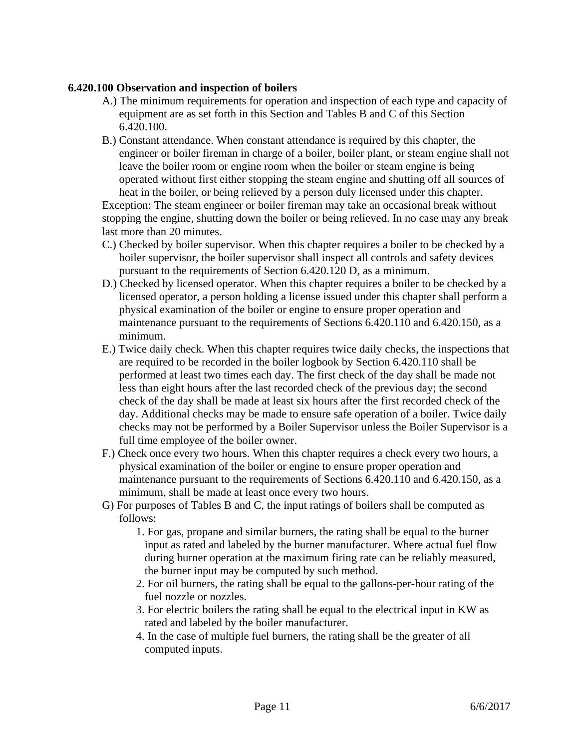#### **6.420.100 Observation and inspection of boilers**

- A.) The minimum requirements for operation and inspection of each type and capacity of equipment are as set forth in this Section and Tables B and C of this Section 6.420.100.
- B.) Constant attendance. When constant attendance is required by this chapter, the engineer or boiler fireman in charge of a boiler, boiler plant, or steam engine shall not leave the boiler room or engine room when the boiler or steam engine is being operated without first either stopping the steam engine and shutting off all sources of heat in the boiler, or being relieved by a person duly licensed under this chapter.

Exception: The steam engineer or boiler fireman may take an occasional break without stopping the engine, shutting down the boiler or being relieved. In no case may any break last more than 20 minutes.

- C.) Checked by boiler supervisor. When this chapter requires a boiler to be checked by a boiler supervisor, the boiler supervisor shall inspect all controls and safety devices pursuant to the requirements of Section 6.420.120 D, as a minimum.
- D.) Checked by licensed operator. When this chapter requires a boiler to be checked by a licensed operator, a person holding a license issued under this chapter shall perform a physical examination of the boiler or engine to ensure proper operation and maintenance pursuant to the requirements of Sections 6.420.110 and 6.420.150, as a minimum.
- E.) Twice daily check. When this chapter requires twice daily checks, the inspections that are required to be recorded in the boiler logbook by Section 6.420.110 shall be performed at least two times each day. The first check of the day shall be made not less than eight hours after the last recorded check of the previous day; the second check of the day shall be made at least six hours after the first recorded check of the day. Additional checks may be made to ensure safe operation of a boiler. Twice daily checks may not be performed by a Boiler Supervisor unless the Boiler Supervisor is a full time employee of the boiler owner.
- F.) Check once every two hours. When this chapter requires a check every two hours, a physical examination of the boiler or engine to ensure proper operation and maintenance pursuant to the requirements of Sections 6.420.110 and 6.420.150, as a minimum, shall be made at least once every two hours.
- G) For purposes of Tables B and C, the input ratings of boilers shall be computed as follows:
	- 1. For gas, propane and similar burners, the rating shall be equal to the burner input as rated and labeled by the burner manufacturer. Where actual fuel flow during burner operation at the maximum firing rate can be reliably measured, the burner input may be computed by such method.
	- 2. For oil burners, the rating shall be equal to the gallons-per-hour rating of the fuel nozzle or nozzles.
	- 3. For electric boilers the rating shall be equal to the electrical input in KW as rated and labeled by the boiler manufacturer.
	- 4. In the case of multiple fuel burners, the rating shall be the greater of all computed inputs.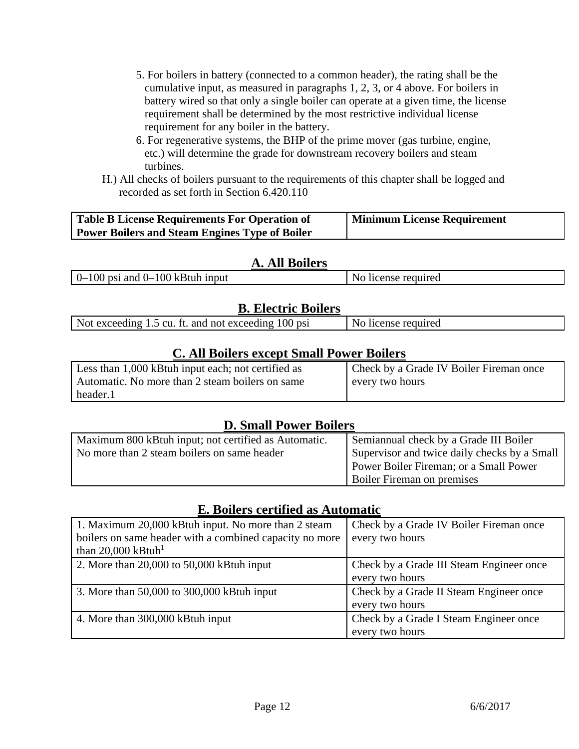- 5. For boilers in battery (connected to a common header), the rating shall be the cumulative input, as measured in paragraphs 1, 2, 3, or 4 above. For boilers in battery wired so that only a single boiler can operate at a given time, the license requirement shall be determined by the most restrictive individual license requirement for any boiler in the battery.
- 6. For regenerative systems, the BHP of the prime mover (gas turbine, engine, etc.) will determine the grade for downstream recovery boilers and steam turbines.
- H.) All checks of boilers pursuant to the requirements of this chapter shall be logged and recorded as set forth in Section 6.420.110

| <b>Table B License Requirements For Operation of</b>  | <b>Minimum License Requirement</b> |
|-------------------------------------------------------|------------------------------------|
| <b>Power Boilers and Steam Engines Type of Boiler</b> |                                    |

# **A. All Boilers**

 $0-100$  psi and  $0-100$  kBtuh input  $\vert$  No license required

# **B. Electric Boilers**

| Not exceeding 1.5 cu. ft. and not exceeding 100 psi | license required |
|-----------------------------------------------------|------------------|
|                                                     |                  |

# **C. All Boilers except Small Power Boilers**

| Less than 1,000 kBtuh input each; not certified as | I Check by a Grade IV Boiler Fireman once |
|----------------------------------------------------|-------------------------------------------|
| Automatic. No more than 2 steam boilers on same    | every two hours                           |
| header.1                                           |                                           |

# **D. Small Power Boilers**

| Maximum 800 kBtuh input; not certified as Automatic. | Semiannual check by a Grade III Boiler       |
|------------------------------------------------------|----------------------------------------------|
| No more than 2 steam boilers on same header          | Supervisor and twice daily checks by a Small |
|                                                      | Power Boiler Fireman; or a Small Power       |
|                                                      | <b>Boiler Fireman on premises</b>            |

# **E. Boilers certified as Automatic**

| 1. Maximum 20,000 kBtuh input. No more than 2 steam     | Check by a Grade IV Boiler Fireman once  |
|---------------------------------------------------------|------------------------------------------|
| boilers on same header with a combined capacity no more | every two hours                          |
| than 20,000 kBtuh <sup>1</sup>                          |                                          |
| 2. More than $20,000$ to $50,000$ kBtuh input           | Check by a Grade III Steam Engineer once |
|                                                         | every two hours                          |
| 3. More than 50,000 to 300,000 kBtuh input              | Check by a Grade II Steam Engineer once  |
|                                                         | every two hours                          |
| 4. More than 300,000 kBtuh input                        | Check by a Grade I Steam Engineer once   |
|                                                         | every two hours                          |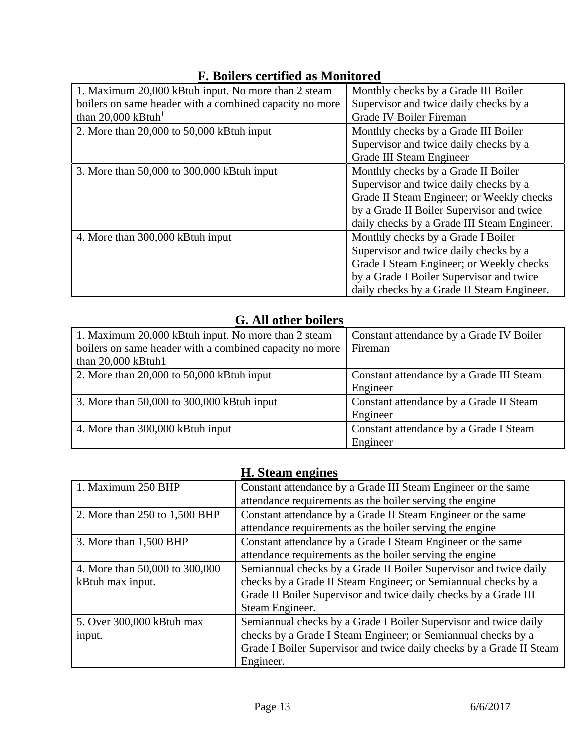| <b>F. Boilers certified as Monitored</b> |
|------------------------------------------|
|------------------------------------------|

| 1. Maximum 20,000 kBtuh input. No more than 2 steam     | Monthly checks by a Grade III Boiler        |
|---------------------------------------------------------|---------------------------------------------|
| boilers on same header with a combined capacity no more | Supervisor and twice daily checks by a      |
| than 20,000 kBtuh <sup>1</sup>                          | Grade IV Boiler Fireman                     |
| 2. More than $20,000$ to $50,000$ kBtuh input           | Monthly checks by a Grade III Boiler        |
|                                                         | Supervisor and twice daily checks by a      |
|                                                         | Grade III Steam Engineer                    |
| 3. More than 50,000 to 300,000 kBtuh input              | Monthly checks by a Grade II Boiler         |
|                                                         | Supervisor and twice daily checks by a      |
|                                                         | Grade II Steam Engineer; or Weekly checks   |
|                                                         | by a Grade II Boiler Supervisor and twice   |
|                                                         | daily checks by a Grade III Steam Engineer. |
| 4. More than 300,000 kBtuh input                        | Monthly checks by a Grade I Boiler          |
|                                                         | Supervisor and twice daily checks by a      |
|                                                         | Grade I Steam Engineer; or Weekly checks    |
|                                                         | by a Grade I Boiler Supervisor and twice    |
|                                                         | daily checks by a Grade II Steam Engineer.  |

# **G. All other boilers**

| 1. Maximum 20,000 kBtuh input. No more than 2 steam     | Constant attendance by a Grade IV Boiler |
|---------------------------------------------------------|------------------------------------------|
| boilers on same header with a combined capacity no more | Fireman                                  |
| than 20,000 kBtuh1                                      |                                          |
| 2. More than $20,000$ to $50,000$ kBtuh input           | Constant attendance by a Grade III Steam |
|                                                         | Engineer                                 |
| 3. More than 50,000 to 300,000 kBtuh input              | Constant attendance by a Grade II Steam  |
|                                                         | Engineer                                 |
| 4. More than 300,000 kBtuh input                        | Constant attendance by a Grade I Steam   |
|                                                         | Engineer                                 |

|                                | H. Steam engines                                                     |
|--------------------------------|----------------------------------------------------------------------|
| 1. Maximum 250 BHP             | Constant attendance by a Grade III Steam Engineer or the same        |
|                                | attendance requirements as the boiler serving the engine             |
| 2. More than 250 to 1,500 BHP  | Constant attendance by a Grade II Steam Engineer or the same         |
|                                | attendance requirements as the boiler serving the engine             |
| 3. More than 1,500 BHP         | Constant attendance by a Grade I Steam Engineer or the same          |
|                                | attendance requirements as the boiler serving the engine             |
| 4. More than 50,000 to 300,000 | Semiannual checks by a Grade II Boiler Supervisor and twice daily    |
| kBtuh max input.               | checks by a Grade II Steam Engineer; or Semiannual checks by a       |
|                                | Grade II Boiler Supervisor and twice daily checks by a Grade III     |
|                                | Steam Engineer.                                                      |
| 5. Over 300,000 kBtuh max      | Semiannual checks by a Grade I Boiler Supervisor and twice daily     |
| input.                         | checks by a Grade I Steam Engineer; or Semiannual checks by a        |
|                                | Grade I Boiler Supervisor and twice daily checks by a Grade II Steam |
|                                | Engineer.                                                            |